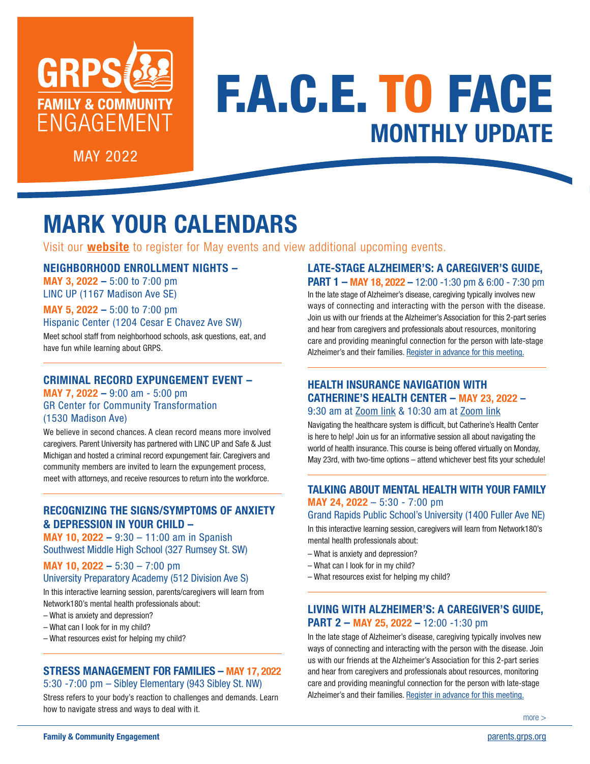

# F.A.C.E. TO FACE **MONTHLY UPDATE**

MAY 2022

# **MARK YOUR CALENDARS**

Visit our **[website](https://parents.grps.org/)** to register for May events and view additional upcoming events.

## NEIGHBORHOOD ENROLLMENT NIGHTS –

MAY 3, 2022 – 5:00 to 7:00 pm LINC UP (1167 Madison Ave SE)

MAY 5, 2022 – 5:00 to 7:00 pm

# Hispanic Center (1204 Cesar E Chavez Ave SW)

Meet school staff from neighborhood schools, ask questions, eat, and have fun while learning about GRPS.

#### CRIMINAL RECORD EXPUNGEMENT EVENT –

MAY 7, 2022 – 9:00 am - 5:00 pm GR Center for Community Transformation (1530 Madison Ave)

We believe in second chances. A clean record means more involved caregivers. Parent University has partnered with LINC UP and Safe & Just Michigan and hosted a criminal record expungement fair. Caregivers and community members are invited to learn the expungement process, meet with attorneys, and receive resources to return into the workforce.

## RECOGNIZING THE SIGNS/SYMPTOMS OF ANXIETY & DEPRESSION IN YOUR CHILD –

MAY 10, 2022 – 9:30 – 11:00 am in Spanish Southwest Middle High School (327 Rumsey St. SW)

#### MAY 10, 2022 – 5:30 – 7:00 pm University Preparatory Academy (512 Division Ave S)

In this interactive learning session, parents/caregivers will learn from Network180's mental health professionals about:

- What is anxiety and depression?
- What can I look for in my child?
- What resources exist for helping my child?

#### STRESS MANAGEMENT FOR FAMILIES – MAY 17, 2022 5:30 -7:00 pm – Sibley Elementary (943 Sibley St. NW)

Stress refers to your body's reaction to challenges and demands. Learn how to navigate stress and ways to deal with it.

# LATE-STAGE ALZHEIMER'S: A CAREGIVER'S GUIDE,

PART 1 – MAY 18, 2022 – 12:00 -1:30 pm & 6:00 - 7:30 pm In the late stage of Alzheimer's disease, caregiving typically involves new ways of connecting and interacting with the person with the disease. Join us with our friends at the Alzheimer's Association for this 2-part series and hear from caregivers and professionals about resources, monitoring care and providing meaningful connection for the person with late-stage Alzheimer's and their families. [Register in advance for this meeting.](https://alz-org.zoom.us/meeting/register/tJEpc-2grzMuHNLJeG52vRi7DI-fABL8ypZ6)

### HEALTH INSURANCE NAVIGATION WITH CATHERINE'S HEALTH CENTER – MAY 23, 2022 – 9:30 am at [Zoom link](https://grps-org.zoom.us/j/82192102314?pwd=eHlPd3V4YlgrQVQ0OHhjdHVGQkMxUT09) & 10:30 am at [Zoom link](https://grps-org.zoom.us/j/82199352437?pwd=UUR1cEJrZS9hd1lERzA4QW9tUkZEUT09)

Navigating the healthcare system is difficult, but Catherine's Health Center is here to help! Join us for an informative session all about navigating the world of health insurance. This course is being offered virtually on Monday, May 23rd, with two-time options – attend whichever best fits your schedule!

# TALKING ABOUT MENTAL HEALTH WITH YOUR FAMILY MAY 24, 2022 – 5:30 - 7:00 pm

Grand Rapids Public School's University (1400 Fuller Ave NE)

In this interactive learning session, caregivers will learn from Network180's mental health professionals about:

- What is anxiety and depression?
- What can I look for in my child?
- What resources exist for helping my child?

## LIVING WITH ALZHEIMER'S: A CAREGIVER'S GUIDE, PART 2 - MAY 25, 2022 - 12:00 -1:30 pm

In the late stage of Alzheimer's disease, caregiving typically involves new ways of connecting and interacting with the person with the disease. Join us with our friends at the Alzheimer's Association for this 2-part series and hear from caregivers and professionals about resources, monitoring care and providing meaningful connection for the person with late-stage Alzheimer's and their families. [Register in advance for this meeting.](https://alz-org.zoom.us/meeting/register/tJEpc-2grzMuHNLJeG52vRi7DI-fABL8ypZ6)